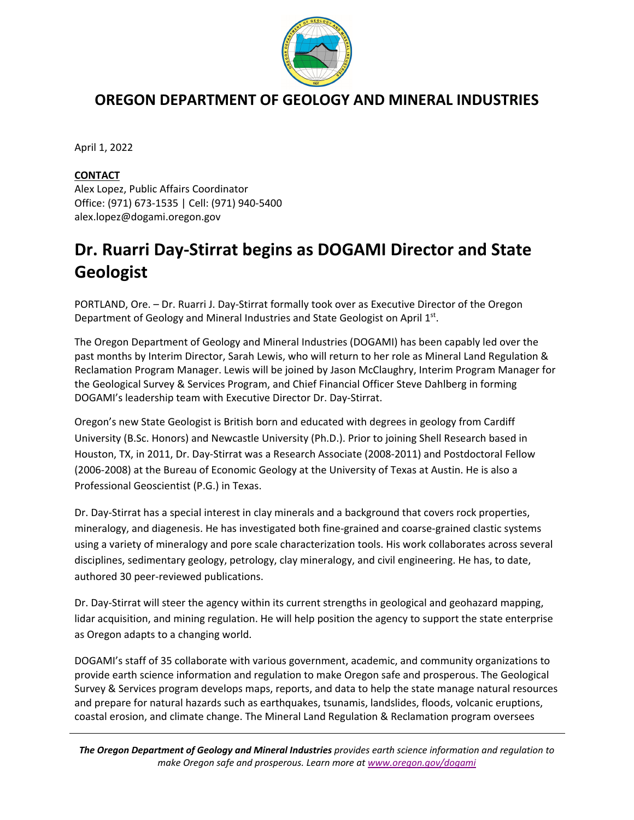

## **OREGON DEPARTMENT OF GEOLOGY AND MINERAL INDUSTRIES**

April 1, 2022

## **CONTACT**

Alex Lopez, Public Affairs Coordinator Office: (971) 673‐1535 | Cell: (971) 940‐5400 alex.lopez@dogami.oregon.gov

## **Dr. Ruarri Day‐Stirrat begins as DOGAMI Director and State Geologist**

PORTLAND, Ore. – Dr. Ruarri J. Day‐Stirrat formally took over as Executive Director of the Oregon Department of Geology and Mineral Industries and State Geologist on April 1st.

The Oregon Department of Geology and Mineral Industries (DOGAMI) has been capably led over the past months by Interim Director, Sarah Lewis, who will return to her role as Mineral Land Regulation & Reclamation Program Manager. Lewis will be joined by Jason McClaughry, Interim Program Manager for the Geological Survey & Services Program, and Chief Financial Officer Steve Dahlberg in forming DOGAMI's leadership team with Executive Director Dr. Day‐Stirrat.

Oregon's new State Geologist is British born and educated with degrees in geology from Cardiff University (B.Sc. Honors) and Newcastle University (Ph.D.). Prior to joining Shell Research based in Houston, TX, in 2011, Dr. Day‐Stirrat was a Research Associate (2008‐2011) and Postdoctoral Fellow (2006‐2008) at the Bureau of Economic Geology at the University of Texas at Austin. He is also a Professional Geoscientist (P.G.) in Texas.

Dr. Day‐Stirrat has a special interest in clay minerals and a background that covers rock properties, mineralogy, and diagenesis. He has investigated both fine‐grained and coarse‐grained clastic systems using a variety of mineralogy and pore scale characterization tools. His work collaborates across several disciplines, sedimentary geology, petrology, clay mineralogy, and civil engineering. He has, to date, authored 30 peer‐reviewed publications.

Dr. Day‐Stirrat will steer the agency within its current strengths in geological and geohazard mapping, lidar acquisition, and mining regulation. He will help position the agency to support the state enterprise as Oregon adapts to a changing world.

DOGAMI's staff of 35 collaborate with various government, academic, and community organizations to provide earth science information and regulation to make Oregon safe and prosperous. The Geological Survey & Services program develops maps, reports, and data to help the state manage natural resources and prepare for natural hazards such as earthquakes, tsunamis, landslides, floods, volcanic eruptions, coastal erosion, and climate change. The Mineral Land Regulation & Reclamation program oversees

*The Oregon Department of Geology and Mineral Industries provides earth science information and regulation to make Oregon safe and prosperous. Learn more at www.oregon.gov/dogami*